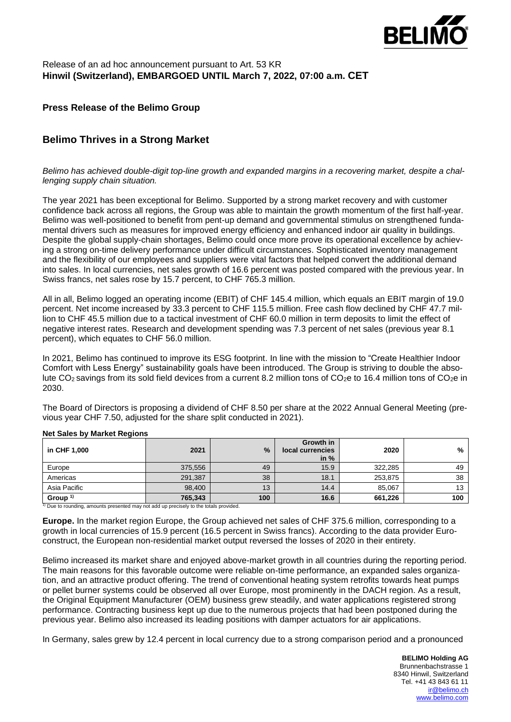

## Release of an ad hoc announcement pursuant to Art. 53 KR **Hinwil (Switzerland), EMBARGOED UNTIL March 7, 2022, 07:00 a.m. CET**

## **Press Release of the Belimo Group**

# **Belimo Thrives in a Strong Market**

*Belimo has achieved double-digit top-line growth and expanded margins in a recovering market, despite a challenging supply chain situation.*

The year 2021 has been exceptional for Belimo. Supported by a strong market recovery and with customer confidence back across all regions, the Group was able to maintain the growth momentum of the first half-year. Belimo was well-positioned to benefit from pent-up demand and governmental stimulus on strengthened fundamental drivers such as measures for improved energy efficiency and enhanced indoor air quality in buildings. Despite the global supply-chain shortages, Belimo could once more prove its operational excellence by achieving a strong on-time delivery performance under difficult circumstances. Sophisticated inventory management and the flexibility of our employees and suppliers were vital factors that helped convert the additional demand into sales. In local currencies, net sales growth of 16.6 percent was posted compared with the previous year. In Swiss francs, net sales rose by 15.7 percent, to CHF 765.3 million.

All in all, Belimo logged an operating income (EBIT) of CHF 145.4 million, which equals an EBIT margin of 19.0 percent. Net income increased by 33.3 percent to CHF 115.5 million. Free cash flow declined by CHF 47.7 million to CHF 45.5 million due to a tactical investment of CHF 60.0 million in term deposits to limit the effect of negative interest rates. Research and development spending was 7.3 percent of net sales (previous year 8.1 percent), which equates to CHF 56.0 million.

In 2021, Belimo has continued to improve its ESG footprint. In line with the mission to "Create Healthier Indoor Comfort with Less Energy" sustainability goals have been introduced. The Group is striving to double the absolute  $CO_2$  savings from its sold field devices from a current 8.2 million tons of  $CO_2$ e to 16.4 million tons of  $CO_2$ e in 2030.

The Board of Directors is proposing a dividend of CHF 8.50 per share at the 2022 Annual General Meeting (previous year CHF 7.50, adjusted for the share split conducted in 2021).

| in CHF 1,000        | 2021    | $\frac{9}{6}$ | Growth in<br>local currencies<br>in $%$ | 2020    | %   |
|---------------------|---------|---------------|-----------------------------------------|---------|-----|
| Europe              | 375,556 | 49            | 15.9                                    | 322,285 | 49  |
| Americas            | 291,387 | 38            | 18.1                                    | 253,875 | 38  |
| Asia Pacific        | 98.400  | 13            | 14.4                                    | 85.067  | 13  |
| Group <sup>1)</sup> | 765,343 | 100           | 16.6                                    | 661,226 | 100 |

#### **Net Sales by Market Regions**

 $1)$  Due to rounding, amounts presented may not add up precisely to the totals provided.

**Europe.** In the market region Europe, the Group achieved net sales of CHF 375.6 million, corresponding to a growth in local currencies of 15.9 percent (16.5 percent in Swiss francs). According to the data provider Euroconstruct, the European non-residential market output reversed the losses of 2020 in their entirety.

Belimo increased its market share and enjoyed above-market growth in all countries during the reporting period. The main reasons for this favorable outcome were reliable on-time performance, an expanded sales organization, and an attractive product offering. The trend of conventional heating system retrofits towards heat pumps or pellet burner systems could be observed all over Europe, most prominently in the DACH region. As a result, the Original Equipment Manufacturer (OEM) business grew steadily, and water applications registered strong performance. Contracting business kept up due to the numerous projects that had been postponed during the previous year. Belimo also increased its leading positions with damper actuators for air applications.

In Germany, sales grew by 12.4 percent in local currency due to a strong comparison period and a pronounced

**BELIMO Holding AG** Brunnenbachstrasse 1 8340 Hinwil, Switzerland Tel. +41 43 843 61 11 [ir@belimo.ch](mailto:ir@belimo.ch) [www.belimo.com](https://www.belimo.com/)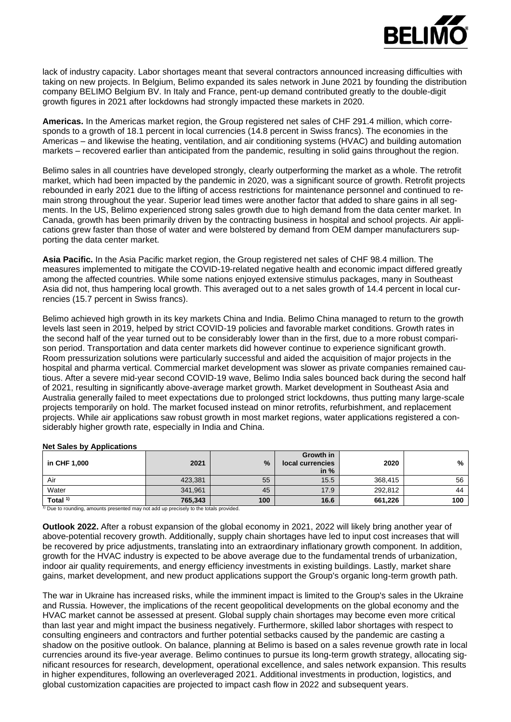

lack of industry capacity. Labor shortages meant that several contractors announced increasing difficulties with taking on new projects. In Belgium, Belimo expanded its sales network in June 2021 by founding the distribution company BELIMO Belgium BV. In Italy and France, pent-up demand contributed greatly to the double-digit growth figures in 2021 after lockdowns had strongly impacted these markets in 2020.

**Americas.** In the Americas market region, the Group registered net sales of CHF 291.4 million, which corresponds to a growth of 18.1 percent in local currencies (14.8 percent in Swiss francs). The economies in the Americas – and likewise the heating, ventilation, and air conditioning systems (HVAC) and building automation markets – recovered earlier than anticipated from the pandemic, resulting in solid gains throughout the region.

Belimo sales in all countries have developed strongly, clearly outperforming the market as a whole. The retrofit market, which had been impacted by the pandemic in 2020, was a significant source of growth. Retrofit projects rebounded in early 2021 due to the lifting of access restrictions for maintenance personnel and continued to remain strong throughout the year. Superior lead times were another factor that added to share gains in all segments. In the US, Belimo experienced strong sales growth due to high demand from the data center market. In Canada, growth has been primarily driven by the contracting business in hospital and school projects. Air applications grew faster than those of water and were bolstered by demand from OEM damper manufacturers supporting the data center market.

**Asia Pacific.** In the Asia Pacific market region, the Group registered net sales of CHF 98.4 million. The measures implemented to mitigate the COVID-19-related negative health and economic impact differed greatly among the affected countries. While some nations enjoyed extensive stimulus packages, many in Southeast Asia did not, thus hampering local growth. This averaged out to a net sales growth of 14.4 percent in local currencies (15.7 percent in Swiss francs).

Belimo achieved high growth in its key markets China and India. Belimo China managed to return to the growth levels last seen in 2019, helped by strict COVID-19 policies and favorable market conditions. Growth rates in the second half of the year turned out to be considerably lower than in the first, due to a more robust comparison period. Transportation and data center markets did however continue to experience significant growth. Room pressurization solutions were particularly successful and aided the acquisition of major projects in the hospital and pharma vertical. Commercial market development was slower as private companies remained cautious. After a severe mid-year second COVID-19 wave, Belimo India sales bounced back during the second half of 2021, resulting in significantly above-average market growth. Market development in Southeast Asia and Australia generally failed to meet expectations due to prolonged strict lockdowns, thus putting many large-scale projects temporarily on hold. The market focused instead on minor retrofits, refurbishment, and replacement projects. While air applications saw robust growth in most market regions, water applications registered a considerably higher growth rate, especially in India and China.

| in CHF 1,000                                                                        | 2021    | $\frac{9}{6}$ | Growth in<br>local currencies<br>in $%$ | 2020    | %   |
|-------------------------------------------------------------------------------------|---------|---------------|-----------------------------------------|---------|-----|
| Air                                                                                 | 423,381 | 55            | 15.5                                    | 368.415 | 56  |
| Water                                                                               | 341,961 | 45            | 17.9                                    | 292.812 | 44  |
| Total $1$                                                                           | 765.343 | 100           | 16.6                                    | 661.226 | 100 |
| Due to rounding, amounts presented may not add up precisely to the totals provided. |         |               |                                         |         |     |

#### **Net Sales by Applications**

**Outlook 2022.** After a robust expansion of the global economy in 2021, 2022 will likely bring another year of above-potential recovery growth. Additionally, supply chain shortages have led to input cost increases that will be recovered by price adjustments, translating into an extraordinary inflationary growth component. In addition, growth for the HVAC industry is expected to be above average due to the fundamental trends of urbanization, indoor air quality requirements, and energy efficiency investments in existing buildings. Lastly, market share gains, market development, and new product applications support the Group's organic long-term growth path.

The war in Ukraine has increased risks, while the imminent impact is limited to the Group's sales in the Ukraine and Russia. However, the implications of the recent geopolitical developments on the global economy and the HVAC market cannot be assessed at present. Global supply chain shortages may become even more critical than last year and might impact the business negatively. Furthermore, skilled labor shortages with respect to consulting engineers and contractors and further potential setbacks caused by the pandemic are casting a shadow on the positive outlook. On balance, planning at Belimo is based on a sales revenue growth rate in local currencies around its five-year average. Belimo continues to pursue its long-term growth strategy, allocating significant resources for research, development, operational excellence, and sales network expansion. This results in higher expenditures, following an overleveraged 2021. Additional investments in production, logistics, and global customization capacities are projected to impact cash flow in 2022 and subsequent years.